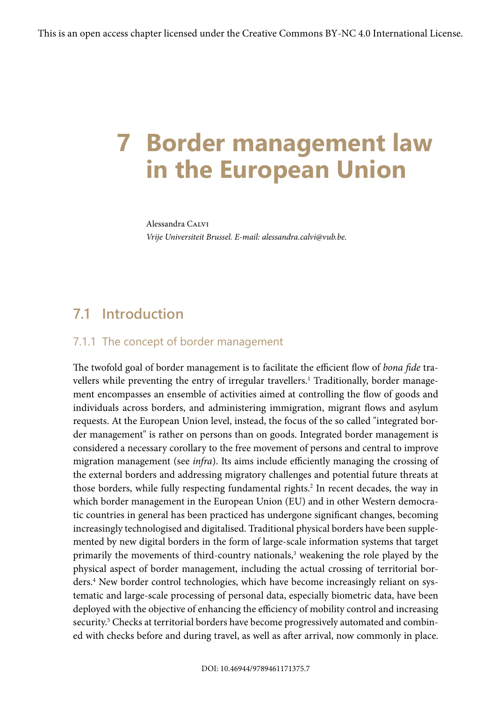# **7 Border management law in the European Union**

Alessandra Calvi *Vrije Universiteit Brussel. E-mail: alessandra.calvi@vub.be.*

# **7.1 Introduction**

#### 7.1.1 The concept of border management

The twofold goal of border management is to facilitate the efficient flow of *bona fide* travellers while preventing the entry of irregular travellers.<sup>1</sup> Traditionally, border management encompasses an ensemble of activities aimed at controlling the flow of goods and individuals across borders, and administering immigration, migrant flows and asylum requests. At the European Union level, instead, the focus of the so called "integrated border management" is rather on persons than on goods. Integrated border management is considered a necessary corollary to the free movement of persons and central to improve migration management (see *infra*). Its aims include efficiently managing the crossing of the external borders and addressing migratory challenges and potential future threats at those borders, while fully respecting fundamental rights.<sup>2</sup> In recent decades, the way in which border management in the European Union (EU) and in other Western democratic countries in general has been practiced has undergone significant changes, becoming increasingly technologised and digitalised. Traditional physical borders have been supplemented by new digital borders in the form of large-scale information systems that target primarily the movements of third-country nationals,<sup>3</sup> weakening the role played by the physical aspect of border management, including the actual crossing of territorial borders.4 New border control technologies, which have become increasingly reliant on systematic and large-scale processing of personal data, especially biometric data, have been deployed with the objective of enhancing the efficiency of mobility control and increasing security.<sup>5</sup> Checks at territorial borders have become progressively automated and combined with checks before and during travel, as well as after arrival, now commonly in place.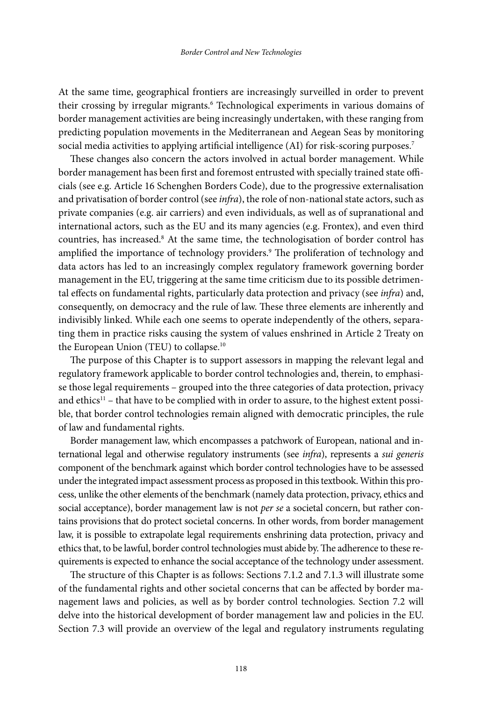At the same time, geographical frontiers are increasingly surveilled in order to prevent their crossing by irregular migrants.<sup>6</sup> Technological experiments in various domains of border management activities are being increasingly undertaken, with these ranging from predicting population movements in the Mediterranean and Aegean Seas by monitoring social media activities to applying artificial intelligence (AI) for risk-scoring purposes.<sup>7</sup>

These changes also concern the actors involved in actual border management. While border management has been first and foremost entrusted with specially trained state officials (see e.g. Article 16 Schenghen Borders Code), due to the progressive externalisation and privatisation of border control (see *infra*), the role of non-national state actors, such as private companies (e.g. air carriers) and even individuals, as well as of supranational and international actors, such as the EU and its many agencies (e.g. Frontex), and even third countries, has increased.8 At the same time, the technologisation of border control has amplified the importance of technology providers.9 The proliferation of technology and data actors has led to an increasingly complex regulatory framework governing border management in the EU, triggering at the same time criticism due to its possible detrimental effects on fundamental rights, particularly data protection and privacy (see *infra*) and, consequently, on democracy and the rule of law. These three elements are inherently and indivisibly linked. While each one seems to operate independently of the others, separating them in practice risks causing the system of values enshrined in Article 2 Treaty on the European Union (TEU) to collapse.10

The purpose of this Chapter is to support assessors in mapping the relevant legal and regulatory framework applicable to border control technologies and, therein, to emphasise those legal requirements – grouped into the three categories of data protection, privacy and ethics<sup>11</sup> – that have to be complied with in order to assure, to the highest extent possible, that border control technologies remain aligned with democratic principles, the rule of law and fundamental rights.

Border management law, which encompasses a patchwork of European, national and international legal and otherwise regulatory instruments (see *infra*), represents a *sui generis* component of the benchmark against which border control technologies have to be assessed under the integrated impact assessment process as proposed in this textbook. Within this process, unlike the other elements of the benchmark (namely data protection, privacy, ethics and social acceptance), border management law is not *per se* a societal concern, but rather contains provisions that do protect societal concerns. In other words, from border management law, it is possible to extrapolate legal requirements enshrining data protection, privacy and ethics that, to be lawful, border control technologies must abide by. The adherence to these requirements is expected to enhance the social acceptance of the technology under assessment.

The structure of this Chapter is as follows: Sections 7.1.2 and 7.1.3 will illustrate some of the fundamental rights and other societal concerns that can be affected by border management laws and policies, as well as by border control technologies. Section 7.2 will delve into the historical development of border management law and policies in the EU. Section 7.3 will provide an overview of the legal and regulatory instruments regulating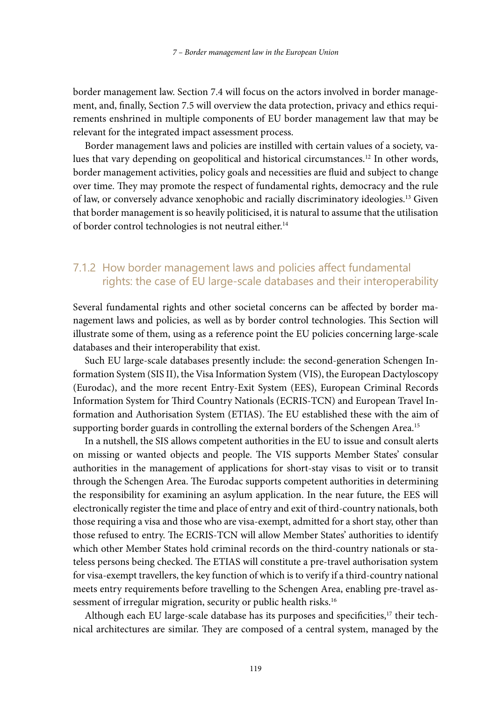border management law. Section 7.4 will focus on the actors involved in border management, and, finally, Section 7.5 will overview the data protection, privacy and ethics requirements enshrined in multiple components of EU border management law that may be relevant for the integrated impact assessment process.

Border management laws and policies are instilled with certain values of a society, values that vary depending on geopolitical and historical circumstances.<sup>12</sup> In other words, border management activities, policy goals and necessities are fluid and subject to change over time. They may promote the respect of fundamental rights, democracy and the rule of law, or conversely advance xenophobic and racially discriminatory ideologies.13 Given that border management is so heavily politicised, it is natural to assume that the utilisation of border control technologies is not neutral either.14

### 7.1.2 How border management laws and policies affect fundamental rights: the case of EU large-scale databases and their interoperability

Several fundamental rights and other societal concerns can be affected by border management laws and policies, as well as by border control technologies. This Section will illustrate some of them, using as a reference point the EU policies concerning large-scale databases and their interoperability that exist.

Such EU large-scale databases presently include: the second-generation Schengen Information System (SIS II), the Visa Information System (VIS), the European Dactyloscopy (Eurodac), and the more recent Entry-Exit System (EES), European Criminal Records Information System for Third Country Nationals (ECRIS-TCN) and European Travel Information and Authorisation System (ETIAS). The EU established these with the aim of supporting border guards in controlling the external borders of the Schengen Area.<sup>15</sup>

In a nutshell, the SIS allows competent authorities in the EU to issue and consult alerts on missing or wanted objects and people. The VIS supports Member States' consular authorities in the management of applications for short-stay visas to visit or to transit through the Schengen Area. The Eurodac supports competent authorities in determining the responsibility for examining an asylum application. In the near future, the EES will electronically register the time and place of entry and exit of third-country nationals, both those requiring a visa and those who are visa-exempt, admitted for a short stay, other than those refused to entry. The ECRIS-TCN will allow Member States' authorities to identify which other Member States hold criminal records on the third-country nationals or stateless persons being checked. The ETIAS will constitute a pre-travel authorisation system for visa-exempt travellers, the key function of which is to verify if a third-country national meets entry requirements before travelling to the Schengen Area, enabling pre-travel assessment of irregular migration, security or public health risks.<sup>16</sup>

Although each EU large-scale database has its purposes and specificities,<sup>17</sup> their technical architectures are similar. They are composed of a central system, managed by the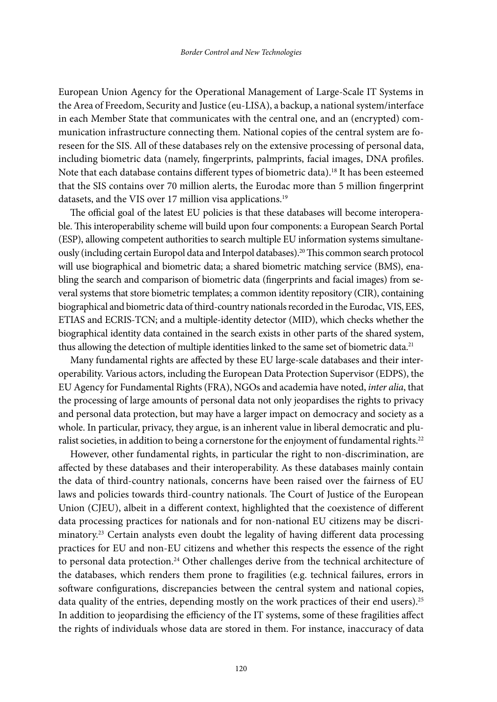European Union Agency for the Operational Management of Large-Scale IT Systems in the Area of Freedom, Security and Justice (eu-LISA), a backup, a national system/interface in each Member State that communicates with the central one, and an (encrypted) communication infrastructure connecting them. National copies of the central system are foreseen for the SIS. All of these databases rely on the extensive processing of personal data, including biometric data (namely, fingerprints, palmprints, facial images, DNA profiles. Note that each database contains different types of biometric data).18 It has been esteemed that the SIS contains over 70 million alerts, the Eurodac more than 5 million fingerprint datasets, and the VIS over 17 million visa applications.<sup>19</sup>

The official goal of the latest EU policies is that these databases will become interoperable. This interoperability scheme will build upon four components: a European Search Portal (ESP), allowing competent authorities to search multiple EU information systems simultaneously (including certain Europol data and Interpol databases).20 This common search protocol will use biographical and biometric data; a shared biometric matching service (BMS), enabling the search and comparison of biometric data (fingerprints and facial images) from several systems that store biometric templates; a common identity repository (CIR), containing biographical and biometric data of third-country nationals recorded in the Eurodac, VIS, EES, ETIAS and ECRIS-TCN; and a multiple-identity detector (MID), which checks whether the biographical identity data contained in the search exists in other parts of the shared system, thus allowing the detection of multiple identities linked to the same set of biometric data.<sup>21</sup>

Many fundamental rights are affected by these EU large-scale databases and their interoperability. Various actors, including the European Data Protection Supervisor (EDPS), the EU Agency for Fundamental Rights (FRA), NGOs and academia have noted, *inter alia*, that the processing of large amounts of personal data not only jeopardises the rights to privacy and personal data protection, but may have a larger impact on democracy and society as a whole. In particular, privacy, they argue, is an inherent value in liberal democratic and pluralist societies, in addition to being a cornerstone for the enjoyment of fundamental rights.<sup>22</sup>

However, other fundamental rights, in particular the right to non-discrimination, are affected by these databases and their interoperability. As these databases mainly contain the data of third-country nationals, concerns have been raised over the fairness of EU laws and policies towards third-country nationals. The Court of Justice of the European Union (CJEU), albeit in a different context, highlighted that the coexistence of different data processing practices for nationals and for non-national EU citizens may be discriminatory.23 Certain analysts even doubt the legality of having different data processing practices for EU and non-EU citizens and whether this respects the essence of the right to personal data protection.<sup>24</sup> Other challenges derive from the technical architecture of the databases, which renders them prone to fragilities (e.g. technical failures, errors in software configurations, discrepancies between the central system and national copies, data quality of the entries, depending mostly on the work practices of their end users).<sup>25</sup> In addition to jeopardising the efficiency of the IT systems, some of these fragilities affect the rights of individuals whose data are stored in them. For instance, inaccuracy of data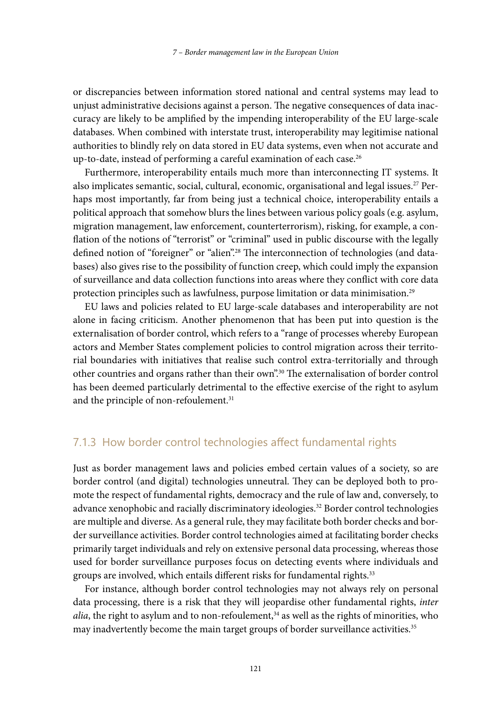or discrepancies between information stored national and central systems may lead to unjust administrative decisions against a person. The negative consequences of data inaccuracy are likely to be amplified by the impending interoperability of the EU large-scale databases. When combined with interstate trust, interoperability may legitimise national authorities to blindly rely on data stored in EU data systems, even when not accurate and up-to-date, instead of performing a careful examination of each case.<sup>26</sup>

Furthermore, interoperability entails much more than interconnecting IT systems. It also implicates semantic, social, cultural, economic, organisational and legal issues.<sup>27</sup> Perhaps most importantly, far from being just a technical choice, interoperability entails a political approach that somehow blurs the lines between various policy goals (e.g. asylum, migration management, law enforcement, counterterrorism), risking, for example, a conflation of the notions of "terrorist" or "criminal" used in public discourse with the legally defined notion of "foreigner" or "alien".28 The interconnection of technologies (and databases) also gives rise to the possibility of function creep, which could imply the expansion of surveillance and data collection functions into areas where they conflict with core data protection principles such as lawfulness, purpose limitation or data minimisation.<sup>29</sup>

EU laws and policies related to EU large-scale databases and interoperability are not alone in facing criticism. Another phenomenon that has been put into question is the externalisation of border control, which refers to a "range of processes whereby European actors and Member States complement policies to control migration across their territorial boundaries with initiatives that realise such control extra-territorially and through other countries and organs rather than their own".30 The externalisation of border control has been deemed particularly detrimental to the effective exercise of the right to asylum and the principle of non-refoulement.<sup>31</sup>

#### 7.1.3 How border control technologies affect fundamental rights

Just as border management laws and policies embed certain values of a society, so are border control (and digital) technologies unneutral. They can be deployed both to promote the respect of fundamental rights, democracy and the rule of law and, conversely, to advance xenophobic and racially discriminatory ideologies.<sup>32</sup> Border control technologies are multiple and diverse. As a general rule, they may facilitate both border checks and border surveillance activities. Border control technologies aimed at facilitating border checks primarily target individuals and rely on extensive personal data processing, whereas those used for border surveillance purposes focus on detecting events where individuals and groups are involved, which entails different risks for fundamental rights.<sup>33</sup>

For instance, although border control technologies may not always rely on personal data processing, there is a risk that they will jeopardise other fundamental rights, *inter alia*, the right to asylum and to non-refoulement,<sup>34</sup> as well as the rights of minorities, who may inadvertently become the main target groups of border surveillance activities.35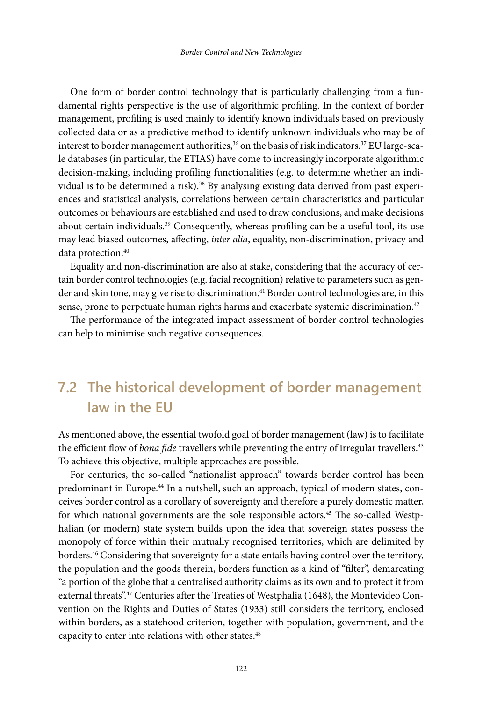One form of border control technology that is particularly challenging from a fundamental rights perspective is the use of algorithmic profiling. In the context of border management, profiling is used mainly to identify known individuals based on previously collected data or as a predictive method to identify unknown individuals who may be of interest to border management authorities, $36$  on the basis of risk indicators. $37$  EU large-scale databases (in particular, the ETIAS) have come to increasingly incorporate algorithmic decision-making, including profiling functionalities (e.g. to determine whether an individual is to be determined a risk).<sup>38</sup> By analysing existing data derived from past experiences and statistical analysis, correlations between certain characteristics and particular outcomes or behaviours are established and used to draw conclusions, and make decisions about certain individuals.39 Consequently, whereas profiling can be a useful tool, its use may lead biased outcomes, affecting, *inter alia*, equality, non-discrimination, privacy and data protection.<sup>40</sup>

Equality and non-discrimination are also at stake, considering that the accuracy of certain border control technologies (e.g. facial recognition) relative to parameters such as gender and skin tone, may give rise to discrimination.<sup>41</sup> Border control technologies are, in this sense, prone to perpetuate human rights harms and exacerbate systemic discrimination.<sup>42</sup>

The performance of the integrated impact assessment of border control technologies can help to minimise such negative consequences.

# **7.2 The historical development of border management law in the EU**

As mentioned above, the essential twofold goal of border management (law) is to facilitate the efficient flow of *bona fide* travellers while preventing the entry of irregular travellers.<sup>43</sup> To achieve this objective, multiple approaches are possible.

For centuries, the so-called "nationalist approach" towards border control has been predominant in Europe.44 In a nutshell, such an approach, typical of modern states, conceives border control as a corollary of sovereignty and therefore a purely domestic matter, for which national governments are the sole responsible actors.<sup>45</sup> The so-called Westphalian (or modern) state system builds upon the idea that sovereign states possess the monopoly of force within their mutually recognised territories, which are delimited by borders.46 Considering that sovereignty for a state entails having control over the territory, the population and the goods therein, borders function as a kind of "filter", demarcating "a portion of the globe that a centralised authority claims as its own and to protect it from external threats".<sup>47</sup> Centuries after the Treaties of Westphalia (1648), the Montevideo Convention on the Rights and Duties of States (1933) still considers the territory, enclosed within borders, as a statehood criterion, together with population, government, and the capacity to enter into relations with other states.<sup>48</sup>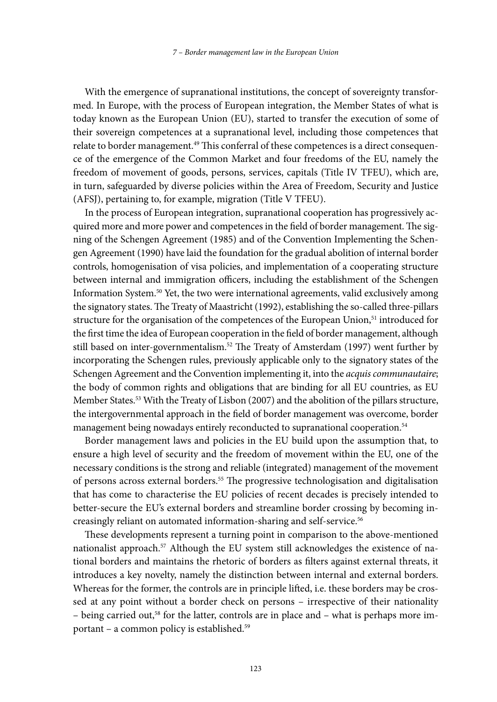With the emergence of supranational institutions, the concept of sovereignty transformed. In Europe, with the process of European integration, the Member States of what is today known as the European Union (EU), started to transfer the execution of some of their sovereign competences at a supranational level, including those competences that relate to border management.<sup>49</sup> This conferral of these competences is a direct consequence of the emergence of the Common Market and four freedoms of the EU, namely the freedom of movement of goods, persons, services, capitals (Title IV TFEU), which are, in turn, safeguarded by diverse policies within the Area of Freedom, Security and Justice (AFSJ), pertaining to, for example, migration (Title V TFEU).

In the process of European integration, supranational cooperation has progressively acquired more and more power and competences in the field of border management. The signing of the Schengen Agreement (1985) and of the Convention Implementing the Schengen Agreement (1990) have laid the foundation for the gradual abolition of internal border controls, homogenisation of visa policies, and implementation of a cooperating structure between internal and immigration officers, including the establishment of the Schengen Information System.50 Yet, the two were international agreements, valid exclusively among the signatory states. The Treaty of Maastricht (1992), establishing the so-called three-pillars structure for the organisation of the competences of the European Union,<sup>51</sup> introduced for the first time the idea of European cooperation in the field of border management, although still based on inter-governmentalism.<sup>52</sup> The Treaty of Amsterdam (1997) went further by incorporating the Schengen rules, previously applicable only to the signatory states of the Schengen Agreement and the Convention implementing it, into the *acquis communautaire*; the body of common rights and obligations that are binding for all EU countries, as EU Member States.53 With the Treaty of Lisbon (2007) and the abolition of the pillars structure, the intergovernmental approach in the field of border management was overcome, border management being nowadays entirely reconducted to supranational cooperation.<sup>54</sup>

Border management laws and policies in the EU build upon the assumption that, to ensure a high level of security and the freedom of movement within the EU, one of the necessary conditions is the strong and reliable (integrated) management of the movement of persons across external borders.55 The progressive technologisation and digitalisation that has come to characterise the EU policies of recent decades is precisely intended to better-secure the EU's external borders and streamline border crossing by becoming increasingly reliant on automated information-sharing and self-service.<sup>56</sup>

These developments represent a turning point in comparison to the above-mentioned nationalist approach.57 Although the EU system still acknowledges the existence of national borders and maintains the rhetoric of borders as filters against external threats, it introduces a key novelty, namely the distinction between internal and external borders. Whereas for the former, the controls are in principle lifted, i.e. these borders may be crossed at any point without a border check on persons – irrespective of their nationality – being carried out,<sup>58</sup> for the latter, controls are in place and – what is perhaps more important – a common policy is established.59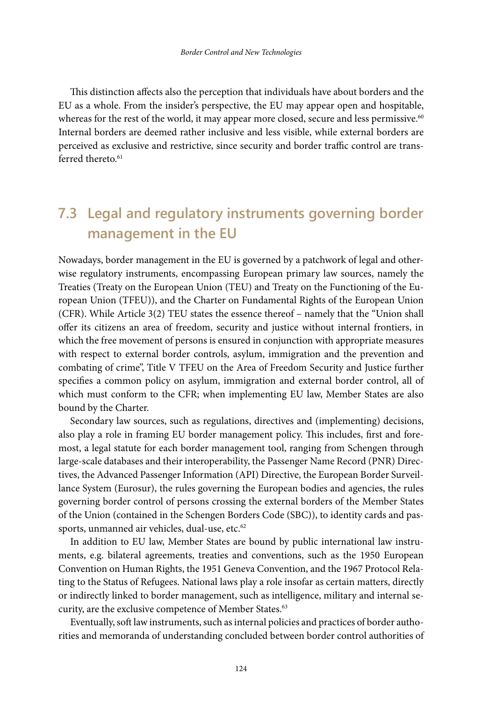This distinction affects also the perception that individuals have about borders and the EU as a whole. From the insider's perspective, the EU may appear open and hospitable, whereas for the rest of the world, it may appear more closed, secure and less permissive.<sup>60</sup> Internal borders are deemed rather inclusive and less visible, while external borders are perceived as exclusive and restrictive, since security and border traffic control are transferred thereto.<sup>61</sup>

# **7.3 Legal and regulatory instruments governing border management in the EU**

Nowadays, border management in the EU is governed by a patchwork of legal and otherwise regulatory instruments, encompassing European primary law sources, namely the Treaties (Treaty on the European Union (TEU) and Treaty on the Functioning of the European Union (TFEU)), and the Charter on Fundamental Rights of the European Union (CFR). While Article 3(2) TEU states the essence thereof – namely that the "Union shall offer its citizens an area of freedom, security and justice without internal frontiers, in which the free movement of persons is ensured in conjunction with appropriate measures with respect to external border controls, asylum, immigration and the prevention and combating of crime", Title V TFEU on the Area of Freedom Security and Justice further specifies a common policy on asylum, immigration and external border control, all of which must conform to the CFR; when implementing EU law, Member States are also bound by the Charter.

Secondary law sources, such as regulations, directives and (implementing) decisions, also play a role in framing EU border management policy. This includes, first and foremost, a legal statute for each border management tool, ranging from Schengen through large-scale databases and their interoperability, the Passenger Name Record (PNR) Directives, the Advanced Passenger Information (API) Directive, the European Border Surveillance System (Eurosur), the rules governing the European bodies and agencies, the rules governing border control of persons crossing the external borders of the Member States of the Union (contained in the Schengen Borders Code (SBC)), to identity cards and passports, unmanned air vehicles, dual-use, etc.<sup>62</sup>

In addition to EU law, Member States are bound by public international law instruments, e.g. bilateral agreements, treaties and conventions, such as the 1950 European Convention on Human Rights, the 1951 Geneva Convention, and the 1967 Protocol Relating to the Status of Refugees. National laws play a role insofar as certain matters, directly or indirectly linked to border management, such as intelligence, military and internal security, are the exclusive competence of Member States.<sup>63</sup>

Eventually, soft law instruments, such as internal policies and practices of border authorities and memoranda of understanding concluded between border control authorities of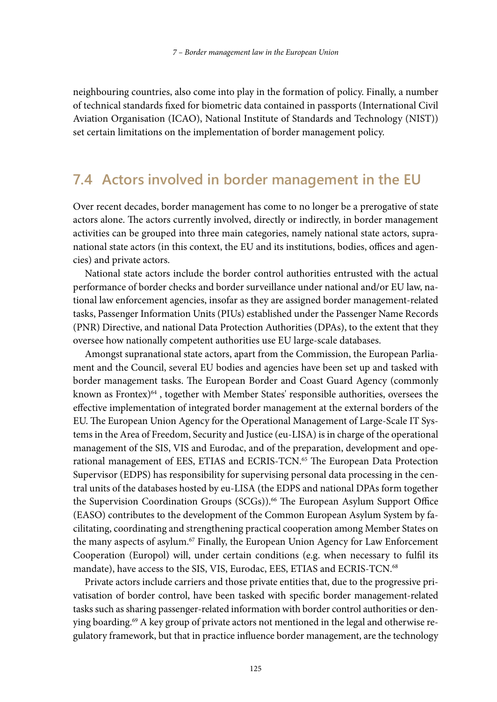neighbouring countries, also come into play in the formation of policy. Finally, a number of technical standards fixed for biometric data contained in passports (International Civil Aviation Organisation (ICAO), National Institute of Standards and Technology (NIST)) set certain limitations on the implementation of border management policy.

### **7.4 Actors involved in border management in the EU**

Over recent decades, border management has come to no longer be a prerogative of state actors alone. The actors currently involved, directly or indirectly, in border management activities can be grouped into three main categories, namely national state actors, supranational state actors (in this context, the EU and its institutions, bodies, offices and agencies) and private actors.

National state actors include the border control authorities entrusted with the actual performance of border checks and border surveillance under national and/or EU law, national law enforcement agencies, insofar as they are assigned border management-related tasks, Passenger Information Units (PIUs) established under the Passenger Name Records (PNR) Directive, and national Data Protection Authorities (DPAs), to the extent that they oversee how nationally competent authorities use EU large-scale databases.

Amongst supranational state actors, apart from the Commission, the European Parliament and the Council, several EU bodies and agencies have been set up and tasked with border management tasks. The European Border and Coast Guard Agency (commonly known as Frontex) $64$ , together with Member States' responsible authorities, oversees the effective implementation of integrated border management at the external borders of the EU. The European Union Agency for the Operational Management of Large-Scale IT Systems in the Area of Freedom, Security and Justice (eu-LISA) is in charge of the operational management of the SIS, VIS and Eurodac, and of the preparation, development and operational management of EES, ETIAS and ECRIS-TCN.<sup>65</sup> The European Data Protection Supervisor (EDPS) has responsibility for supervising personal data processing in the central units of the databases hosted by eu-LISA (the EDPS and national DPAs form together the Supervision Coordination Groups (SCGs)).<sup>66</sup> The European Asylum Support Office (EASO) contributes to the development of the Common European Asylum System by facilitating, coordinating and strengthening practical cooperation among Member States on the many aspects of asylum.67 Finally, the European Union Agency for Law Enforcement Cooperation (Europol) will, under certain conditions (e.g. when necessary to fulfil its mandate), have access to the SIS, VIS, Eurodac, EES, ETIAS and ECRIS-TCN.68

Private actors include carriers and those private entities that, due to the progressive privatisation of border control, have been tasked with specific border management-related tasks such as sharing passenger-related information with border control authorities or denying boarding.69 A key group of private actors not mentioned in the legal and otherwise regulatory framework, but that in practice influence border management, are the technology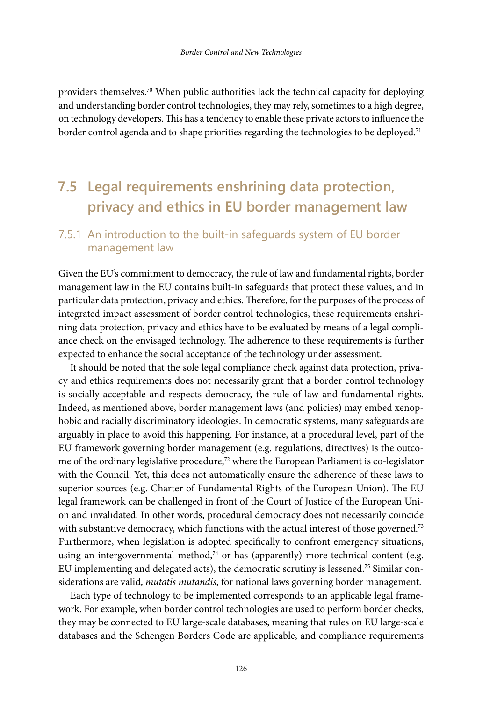providers themselves.70 When public authorities lack the technical capacity for deploying and understanding border control technologies, they may rely, sometimes to a high degree, on technology developers. This has a tendency to enable these private actors to influence the border control agenda and to shape priorities regarding the technologies to be deployed.<sup>71</sup>

# **7.5 Legal requirements enshrining data protection, privacy and ethics in EU border management law**

### 7.5.1 An introduction to the built-in safeguards system of EU border management law

Given the EU's commitment to democracy, the rule of law and fundamental rights, border management law in the EU contains built-in safeguards that protect these values, and in particular data protection, privacy and ethics. Therefore, for the purposes of the process of integrated impact assessment of border control technologies, these requirements enshrining data protection, privacy and ethics have to be evaluated by means of a legal compliance check on the envisaged technology. The adherence to these requirements is further expected to enhance the social acceptance of the technology under assessment.

It should be noted that the sole legal compliance check against data protection, privacy and ethics requirements does not necessarily grant that a border control technology is socially acceptable and respects democracy, the rule of law and fundamental rights. Indeed, as mentioned above, border management laws (and policies) may embed xenophobic and racially discriminatory ideologies. In democratic systems, many safeguards are arguably in place to avoid this happening. For instance, at a procedural level, part of the EU framework governing border management (e.g. regulations, directives) is the outcome of the ordinary legislative procedure,<sup>72</sup> where the European Parliament is co-legislator with the Council. Yet, this does not automatically ensure the adherence of these laws to superior sources (e.g. Charter of Fundamental Rights of the European Union). The EU legal framework can be challenged in front of the Court of Justice of the European Union and invalidated. In other words, procedural democracy does not necessarily coincide with substantive democracy, which functions with the actual interest of those governed.<sup>73</sup> Furthermore, when legislation is adopted specifically to confront emergency situations, using an intergovernmental method, $74$  or has (apparently) more technical content (e.g. EU implementing and delegated acts), the democratic scrutiny is lessened.75 Similar considerations are valid, *mutatis mutandis*, for national laws governing border management.

Each type of technology to be implemented corresponds to an applicable legal framework. For example, when border control technologies are used to perform border checks, they may be connected to EU large-scale databases, meaning that rules on EU large-scale databases and the Schengen Borders Code are applicable, and compliance requirements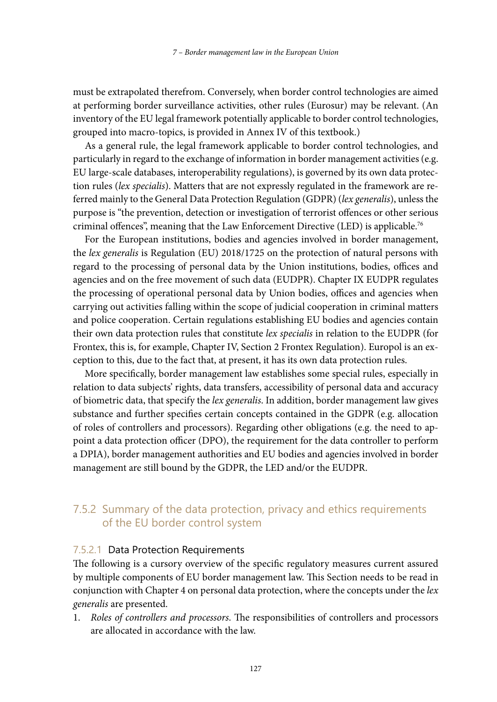must be extrapolated therefrom. Conversely, when border control technologies are aimed at performing border surveillance activities, other rules (Eurosur) may be relevant. (An inventory of the EU legal framework potentially applicable to border control technologies, grouped into macro-topics, is provided in Annex IV of this textbook.)

As a general rule, the legal framework applicable to border control technologies, and particularly in regard to the exchange of information in border management activities (e.g. EU large-scale databases, interoperability regulations), is governed by its own data protection rules (*lex specialis*). Matters that are not expressly regulated in the framework are referred mainly to the General Data Protection Regulation (GDPR) (*lex generalis*), unless the purpose is "the prevention, detection or investigation of terrorist offences or other serious criminal offences", meaning that the Law Enforcement Directive (LED) is applicable.76

For the European institutions, bodies and agencies involved in border management, the *lex generalis* is Regulation (EU) 2018/1725 on the protection of natural persons with regard to the processing of personal data by the Union institutions, bodies, offices and agencies and on the free movement of such data (EUDPR). Chapter IX EUDPR regulates the processing of operational personal data by Union bodies, offices and agencies when carrying out activities falling within the scope of judicial cooperation in criminal matters and police cooperation. Certain regulations establishing EU bodies and agencies contain their own data protection rules that constitute *lex specialis* in relation to the EUDPR (for Frontex, this is, for example, Chapter IV, Section 2 Frontex Regulation). Europol is an exception to this, due to the fact that, at present, it has its own data protection rules.

More specifically, border management law establishes some special rules, especially in relation to data subjects' rights, data transfers, accessibility of personal data and accuracy of biometric data, that specify the *lex generalis*. In addition, border management law gives substance and further specifies certain concepts contained in the GDPR (e.g. allocation of roles of controllers and processors). Regarding other obligations (e.g. the need to appoint a data protection officer (DPO), the requirement for the data controller to perform a DPIA), border management authorities and EU bodies and agencies involved in border management are still bound by the GDPR, the LED and/or the EUDPR.

### 7.5.2 Summary of the data protection, privacy and ethics requirements of the EU border control system

#### 7.5.2.1 Data Protection Requirements

The following is a cursory overview of the specific regulatory measures current assured by multiple components of EU border management law. This Section needs to be read in conjunction with Chapter 4 on personal data protection, where the concepts under the *lex generalis* are presented.

1. *Roles of controllers and processors*. The responsibilities of controllers and processors are allocated in accordance with the law.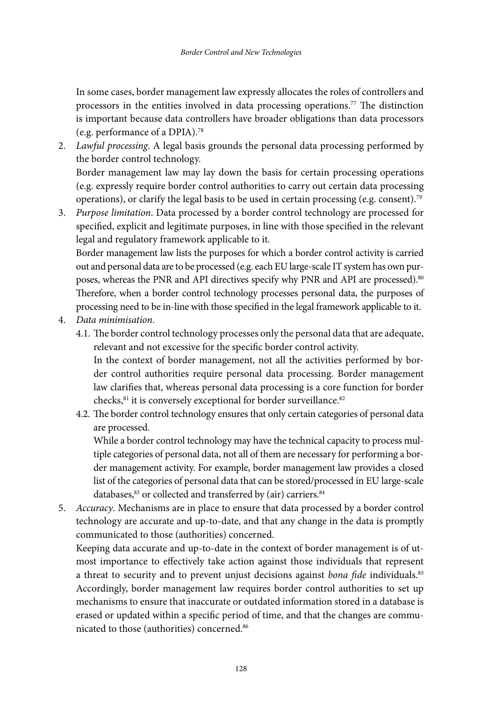In some cases, border management law expressly allocates the roles of controllers and processors in the entities involved in data processing operations.<sup>77</sup> The distinction is important because data controllers have broader obligations than data processors (e.g. performance of a DPIA).78

- 2. *Lawful processing*. A legal basis grounds the personal data processing performed by the border control technology. Border management law may lay down the basis for certain processing operations (e.g. expressly require border control authorities to carry out certain data processing operations), or clarify the legal basis to be used in certain processing (e.g. consent).<sup>79</sup>
- 3. *Purpose limitation*. Data processed by a border control technology are processed for specified, explicit and legitimate purposes, in line with those specified in the relevant legal and regulatory framework applicable to it. Border management law lists the purposes for which a border control activity is carried

out and personal data are to be processed (e.g. each EU large-scale IT system has own purposes, whereas the PNR and API directives specify why PNR and API are processed).<sup>80</sup> Therefore, when a border control technology processes personal data, the purposes of processing need to be in-line with those specified in the legal framework applicable to it.

- 4. *Data minimisation*.
	- 4.1. The border control technology processes only the personal data that are adequate, relevant and not excessive for the specific border control activity.

In the context of border management, not all the activities performed by border control authorities require personal data processing. Border management law clarifies that, whereas personal data processing is a core function for border checks,<sup>81</sup> it is conversely exceptional for border surveillance.<sup>82</sup>

4.2. The border control technology ensures that only certain categories of personal data are processed.

While a border control technology may have the technical capacity to process multiple categories of personal data, not all of them are necessary for performing a border management activity. For example, border management law provides a closed list of the categories of personal data that can be stored/processed in EU large-scale databases,<sup>83</sup> or collected and transferred by (air) carriers.<sup>84</sup>

5. *Accuracy*. Mechanisms are in place to ensure that data processed by a border control technology are accurate and up-to-date, and that any change in the data is promptly communicated to those (authorities) concerned.

Keeping data accurate and up-to-date in the context of border management is of utmost importance to effectively take action against those individuals that represent a threat to security and to prevent unjust decisions against *bona fide* individuals.<sup>85</sup> Accordingly, border management law requires border control authorities to set up mechanisms to ensure that inaccurate or outdated information stored in a database is erased or updated within a specific period of time, and that the changes are communicated to those (authorities) concerned.<sup>86</sup>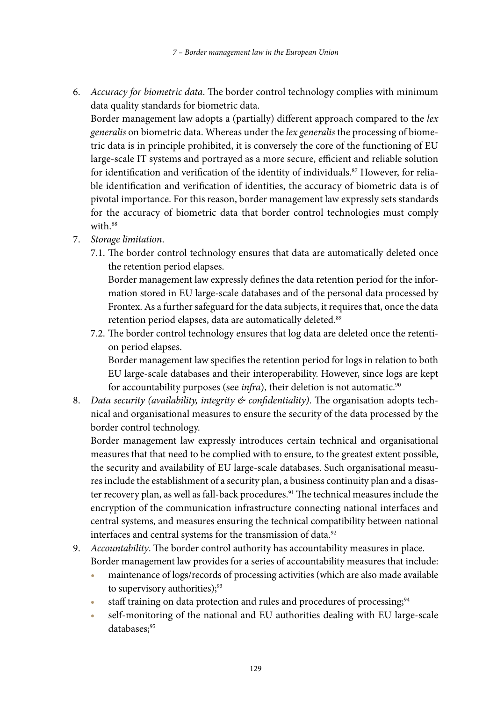6. *Accuracy for biometric data*. The border control technology complies with minimum data quality standards for biometric data.

Border management law adopts a (partially) different approach compared to the *lex generalis* on biometric data. Whereas under the *lex generalis* the processing of biometric data is in principle prohibited, it is conversely the core of the functioning of EU large-scale IT systems and portrayed as a more secure, efficient and reliable solution for identification and verification of the identity of individuals.<sup>87</sup> However, for reliable identification and verification of identities, the accuracy of biometric data is of pivotal importance. For this reason, border management law expressly sets standards for the accuracy of biometric data that border control technologies must comply with.<sup>88</sup>

- 7. *Storage limitation*.
	- 7.1. The border control technology ensures that data are automatically deleted once the retention period elapses.

Border management law expressly defines the data retention period for the information stored in EU large-scale databases and of the personal data processed by Frontex. As a further safeguard for the data subjects, it requires that, once the data retention period elapses, data are automatically deleted.<sup>89</sup>

7.2. The border control technology ensures that log data are deleted once the retention period elapses.

Border management law specifies the retention period for logs in relation to both EU large-scale databases and their interoperability. However, since logs are kept for accountability purposes (see *infra*), their deletion is not automatic.<sup>90</sup>

8. *Data security (availability, integrity & confidentiality)*. The organisation adopts technical and organisational measures to ensure the security of the data processed by the border control technology.

Border management law expressly introduces certain technical and organisational measures that that need to be complied with to ensure, to the greatest extent possible, the security and availability of EU large-scale databases. Such organisational measures include the establishment of a security plan, a business continuity plan and a disaster recovery plan, as well as fall-back procedures.<sup>91</sup> The technical measures include the encryption of the communication infrastructure connecting national interfaces and central systems, and measures ensuring the technical compatibility between national interfaces and central systems for the transmission of data.<sup>92</sup>

- 9. *Accountability*. The border control authority has accountability measures in place. Border management law provides for a series of accountability measures that include:
	- **•** maintenance of logs/records of processing activities (which are also made available to supervisory authorities);<sup>93</sup>
	- staff training on data protection and rules and procedures of processing;<sup>94</sup>
	- **•** self-monitoring of the national and EU authorities dealing with EU large-scale databases:95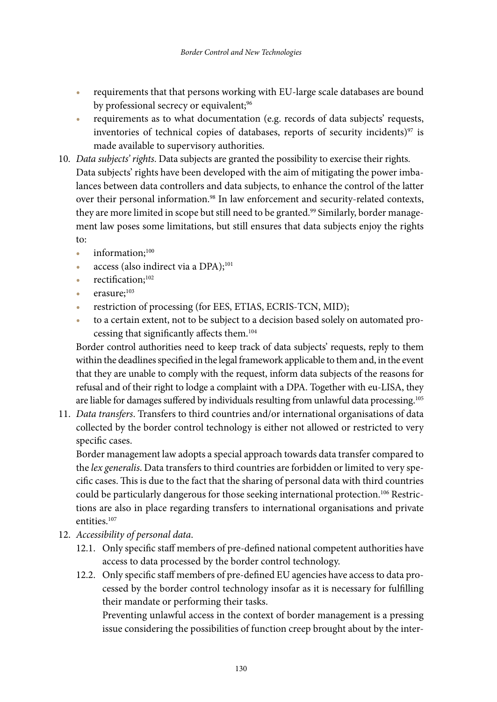- **•** requirements that that persons working with EU-large scale databases are bound by professional secrecy or equivalent;<sup>96</sup>
- **•** requirements as to what documentation (e.g. records of data subjects' requests, inventories of technical copies of databases, reports of security incidents)<sup>97</sup> is made available to supervisory authorities.
- 10. *Data subjects' rights*. Data subjects are granted the possibility to exercise their rights. Data subjects' rights have been developed with the aim of mitigating the power imbalances between data controllers and data subjects, to enhance the control of the latter over their personal information.<sup>98</sup> In law enforcement and security-related contexts, they are more limited in scope but still need to be granted.<sup>99</sup> Similarly, border management law poses some limitations, but still ensures that data subjects enjoy the rights to:
	- information;<sup>100</sup>
	- access (also indirect via a DPA);<sup>101</sup>
	- **•** rectification;102
	- **•** erasure;103
	- **•** restriction of processing (for EES, ETIAS, ECRIS-TCN, MID);
	- **•** to a certain extent, not to be subject to a decision based solely on automated processing that significantly affects them.104

Border control authorities need to keep track of data subjects' requests, reply to them within the deadlines specified in the legal framework applicable to them and, in the event that they are unable to comply with the request, inform data subjects of the reasons for refusal and of their right to lodge a complaint with a DPA. Together with eu-LISA, they are liable for damages suffered by individuals resulting from unlawful data processing.<sup>105</sup>

11. *Data transfers*. Transfers to third countries and/or international organisations of data collected by the border control technology is either not allowed or restricted to very specific cases.

Border management law adopts a special approach towards data transfer compared to the *lex generalis*. Data transfers to third countries are forbidden or limited to very specific cases. This is due to the fact that the sharing of personal data with third countries could be particularly dangerous for those seeking international protection.<sup>106</sup> Restrictions are also in place regarding transfers to international organisations and private entities.<sup>107</sup>

- 12. *Accessibility of personal data*.
	- 12.1. Only specific staff members of pre-defined national competent authorities have access to data processed by the border control technology.
	- 12.2. Only specific staff members of pre-defined EU agencies have access to data processed by the border control technology insofar as it is necessary for fulfilling their mandate or performing their tasks.

Preventing unlawful access in the context of border management is a pressing issue considering the possibilities of function creep brought about by the inter-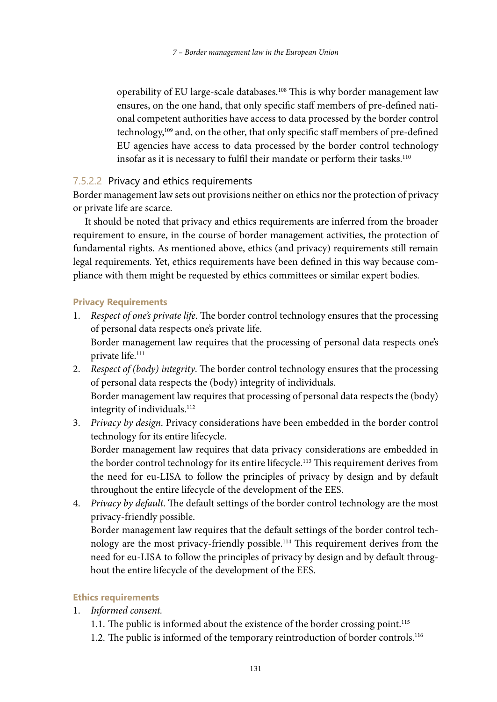operability of EU large-scale databases.108 This is why border management law ensures, on the one hand, that only specific staff members of pre-defined national competent authorities have access to data processed by the border control technology,109 and, on the other, that only specific staff members of pre-defined EU agencies have access to data processed by the border control technology insofar as it is necessary to fulfil their mandate or perform their tasks. $110$ 

#### 7.5.2.2 Privacy and ethics requirements

Border management law sets out provisions neither on ethics nor the protection of privacy or private life are scarce.

It should be noted that privacy and ethics requirements are inferred from the broader requirement to ensure, in the course of border management activities, the protection of fundamental rights. As mentioned above, ethics (and privacy) requirements still remain legal requirements. Yet, ethics requirements have been defined in this way because compliance with them might be requested by ethics committees or similar expert bodies.

#### **Privacy Requirements**

- 1. *Respect of one's private life*. The border control technology ensures that the processing of personal data respects one's private life. Border management law requires that the processing of personal data respects one's private life.111
- 2. *Respect of (body) integrity*. The border control technology ensures that the processing of personal data respects the (body) integrity of individuals. Border management law requires that processing of personal data respects the (body) integrity of individuals.<sup>112</sup>
- 3. *Privacy by design*. Privacy considerations have been embedded in the border control technology for its entire lifecycle.

Border management law requires that data privacy considerations are embedded in the border control technology for its entire lifecycle.<sup>113</sup> This requirement derives from the need for eu-LISA to follow the principles of privacy by design and by default throughout the entire lifecycle of the development of the EES.

4. *Privacy by default*. The default settings of the border control technology are the most privacy-friendly possible.

Border management law requires that the default settings of the border control technology are the most privacy-friendly possible.114 This requirement derives from the need for eu-LISA to follow the principles of privacy by design and by default throughout the entire lifecycle of the development of the EES.

#### **Ethics requirements**

- 1. *Informed consent.*
	- 1.1. The public is informed about the existence of the border crossing point.<sup>115</sup>
	- 1.2. The public is informed of the temporary reintroduction of border controls.<sup>116</sup>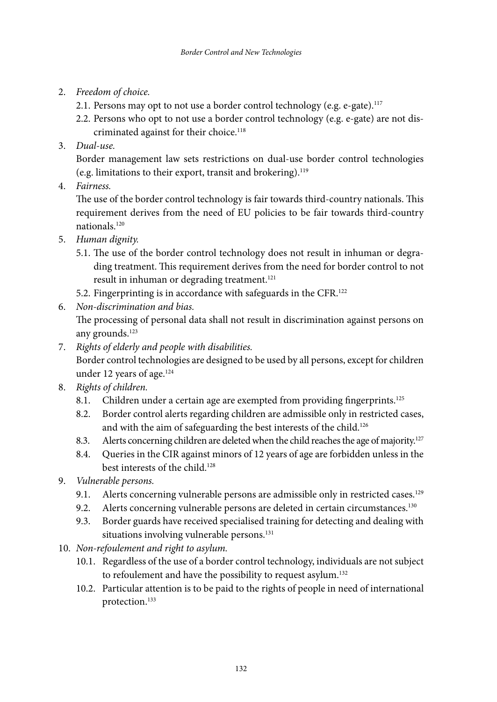- 2. *Freedom of choice.*
	- 2.1. Persons may opt to not use a border control technology (e.g. e-gate).<sup>117</sup>
	- 2.2. Persons who opt to not use a border control technology (e.g. e-gate) are not discriminated against for their choice.<sup>118</sup>
- 3. *Dual-use.*

Border management law sets restrictions on dual-use border control technologies (e.g. limitations to their export, transit and brokering).119

4. *Fairness.*

The use of the border control technology is fair towards third-country nationals. This requirement derives from the need of EU policies to be fair towards third-country nationals.120

- 5. *Human dignity.*
	- 5.1. The use of the border control technology does not result in inhuman or degrading treatment. This requirement derives from the need for border control to not result in inhuman or degrading treatment.<sup>121</sup>
	- 5.2. Fingerprinting is in accordance with safeguards in the CFR.122
- 6. *Non-discrimination and bias.*

The processing of personal data shall not result in discrimination against persons on any grounds.123

- 7. *Rights of elderly and people with disabilities.* Border control technologies are designed to be used by all persons, except for children under 12 years of age.<sup>124</sup>
- 8. *Rights of children.*
	- 8.1. Children under a certain age are exempted from providing fingerprints.<sup>125</sup>
	- 8.2. Border control alerts regarding children are admissible only in restricted cases, and with the aim of safeguarding the best interests of the child.<sup>126</sup>
	- 8.3. Alerts concerning children are deleted when the child reaches the age of majority.<sup>127</sup>
	- 8.4. Queries in the CIR against minors of 12 years of age are forbidden unless in the best interests of the child.<sup>128</sup>
- 9. *Vulnerable persons.*
	- 9.1. Alerts concerning vulnerable persons are admissible only in restricted cases.<sup>129</sup>
	- 9.2. Alerts concerning vulnerable persons are deleted in certain circumstances.<sup>130</sup>
	- 9.3. Border guards have received specialised training for detecting and dealing with situations involving vulnerable persons.<sup>131</sup>
- 10. *Non-refoulement and right to asylum.*
	- 10.1. Regardless of the use of a border control technology, individuals are not subject to refoulement and have the possibility to request asylum.<sup>132</sup>
	- 10.2. Particular attention is to be paid to the rights of people in need of international protection.133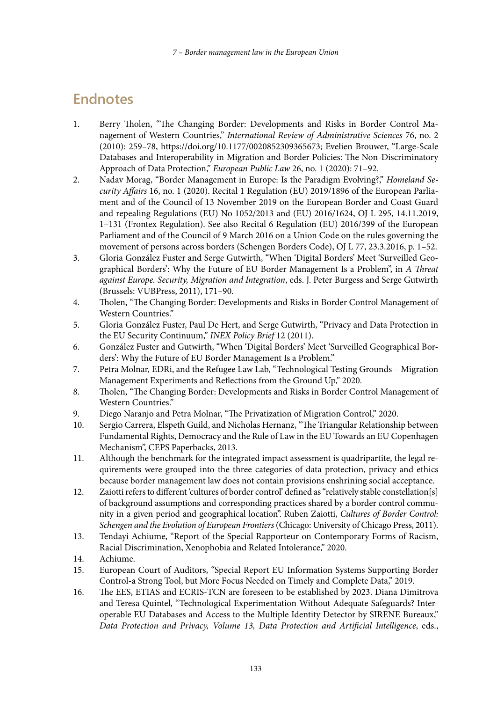# **Endnotes**

- 1. Berry Tholen, "The Changing Border: Developments and Risks in Border Control Management of Western Countries," *International Review of Administrative Sciences* 76, no. 2 (2010): 259–78, [https://doi.org/10.1177/0020852309365673;](https://doi.org/10.1177/0020852309365673) Evelien Brouwer, "Large-Scale Databases and Interoperability in Migration and Border Policies: The Non-Discriminatory Approach of Data Protection," *European Public Law* 26, no. 1 (2020): 71–92.
- 2. Nadav Morag, "Border Management in Europe: Is the Paradigm Evolving?," *Homeland Security Affairs* 16, no. 1 (2020). Recital 1 Regulation (EU) 2019/1896 of the European Parliament and of the Council of 13 November 2019 on the European Border and Coast Guard and repealing Regulations (EU) No 1052/2013 and (EU) 2016/1624, OJ L 295, 14.11.2019, 1–131 (Frontex Regulation). See also Recital 6 Regulation (EU) 2016/399 of the European Parliament and of the Council of 9 March 2016 on a Union Code on the rules governing the movement of persons across borders (Schengen Borders Code), OJ L 77, 23.3.2016, p. 1–52.
- 3. Gloria González Fuster and Serge Gutwirth, "When 'Digital Borders' Meet 'Surveilled Geographical Borders': Why the Future of EU Border Management Is a Problem", in *A Threat against Europe. Security, Migration and Integration*, eds. J. Peter Burgess and Serge Gutwirth (Brussels: VUBPress, 2011), 171–90.
- 4. Tholen, "The Changing Border: Developments and Risks in Border Control Management of Western Countries."
- 5. Gloria González Fuster, Paul De Hert, and Serge Gutwirth, "Privacy and Data Protection in the EU Security Continuum," *INEX Policy Brief* 12 (2011).
- 6. González Fuster and Gutwirth, "When 'Digital Borders' Meet 'Surveilled Geographical Borders': Why the Future of EU Border Management Is a Problem."
- 7. Petra Molnar, EDRi, and the Refugee Law Lab, "Technological Testing Grounds Migration Management Experiments and Reflections from the Ground Up," 2020.
- 8. Tholen, "The Changing Border: Developments and Risks in Border Control Management of Western Countries."
- 9. Diego Naranjo and Petra Molnar, "The Privatization of Migration Control," 2020.
- 10. Sergio Carrera, Elspeth Guild, and Nicholas Hernanz, "The Triangular Relationship between Fundamental Rights, Democracy and the Rule of Law in the EU Towards an EU Copenhagen Mechanism", CEPS Paperbacks, 2013.
- 11. Although the benchmark for the integrated impact assessment is quadripartite, the legal requirements were grouped into the three categories of data protection, privacy and ethics because border management law does not contain provisions enshrining social acceptance.
- 12. Zaiotti refers to different 'cultures of border control' defined as "relatively stable constellation[s] of background assumptions and corresponding practices shared by a border control community in a given period and geographical location". Ruben Zaiotti, *Cultures of Border Control: Schengen and the Evolution of European Frontiers* (Chicago: University of Chicago Press, 2011).
- 13. Tendayi Achiume, "Report of the Special Rapporteur on Contemporary Forms of Racism, Racial Discrimination, Xenophobia and Related Intolerance," 2020.
- 14. Achiume.
- 15. European Court of Auditors, "Special Report EU Information Systems Supporting Border Control-a Strong Tool, but More Focus Needed on Timely and Complete Data," 2019.
- 16. The EES, ETIAS and ECRIS-TCN are foreseen to be established by 2023. Diana Dimitrova and Teresa Quintel, "Technological Experimentation Without Adequate Safeguards? Interoperable EU Databases and Access to the Multiple Identity Detector by SIRENE Bureaux," *Data Protection and Privacy, Volume 13, Data Protection and Artificial Intelligence*, eds.,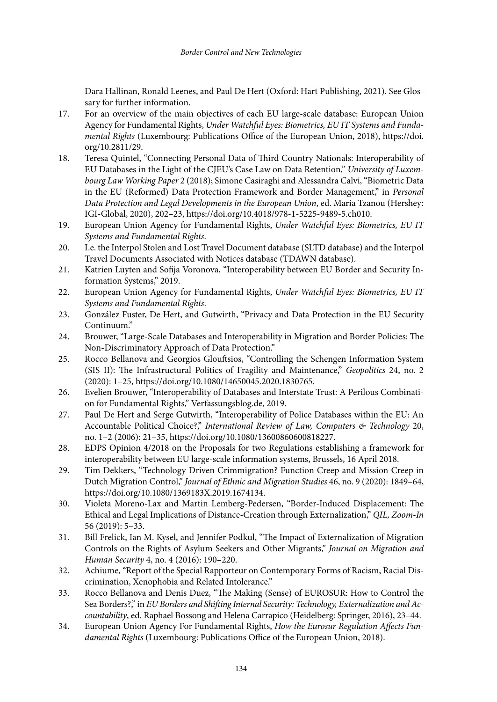Dara Hallinan, Ronald Leenes, and Paul De Hert (Oxford: Hart Publishing, 2021). See Glossary for further information.

- 17. For an overview of the main objectives of each EU large-scale database: European Union Agency for Fundamental Rights, *Under Watchful Eyes: Biometrics, EU IT Systems and Fundamental Rights* (Luxembourg: Publications Office of the European Union, 2018), [https://doi.](https://doi.org/10.2811/29) [org/10.2811/29.](https://doi.org/10.2811/29)
- 18. Teresa Quintel, "Connecting Personal Data of Third Country Nationals: Interoperability of EU Databases in the Light of the CJEU's Case Law on Data Retention," *University of Luxembourg Law Working Paper* 2 (2018); Simone Casiraghi and Alessandra Calvi, "Biometric Data in the EU (Reformed) Data Protection Framework and Border Management," in *Personal Data Protection and Legal Developments in the European Union*, ed. Maria Tzanou (Hershey: IGI-Global, 2020), 202–23, [https://doi.org/10.4018/978-1-5225-9489-5.ch010.](https://doi.org/10.4018/978-1-5225-9489-5.ch010)
- 19. European Union Agency for Fundamental Rights, *Under Watchful Eyes: Biometrics, EU IT Systems and Fundamental Rights*.
- 20. I.e. the Interpol Stolen and Lost Travel Document database (SLTD database) and the Interpol Travel Documents Associated with Notices database (TDAWN database).
- 21. Katrien Luyten and Sofija Voronova, "Interoperability between EU Border and Security Information Systems," 2019.
- 22. European Union Agency for Fundamental Rights, *Under Watchful Eyes: Biometrics, EU IT Systems and Fundamental Rights*.
- 23. González Fuster, De Hert, and Gutwirth, "Privacy and Data Protection in the EU Security Continuum."
- 24. Brouwer, "Large-Scale Databases and Interoperability in Migration and Border Policies: The Non-Discriminatory Approach of Data Protection."
- 25. Rocco Bellanova and Georgios Glouftsios, "Controlling the Schengen Information System (SIS II): The Infrastructural Politics of Fragility and Maintenance," *Geopolitics* 24, no. 2 (2020): 1–25, <https://doi.org/10.1080/14650045.2020.1830765>.
- 26. Evelien Brouwer, "Interoperability of Databases and Interstate Trust: A Perilous Combination for Fundamental Rights," [Verfassungsblog.de,](http://Verfassungsblog.de) 2019.
- 27. Paul De Hert and Serge Gutwirth, "Interoperability of Police Databases within the EU: An Accountable Political Choice?," *International Review of Law, Computers & Technology* 20, no. 1–2 (2006): 21–35, <https://doi.org/10.1080/13600860600818227>.
- 28. EDPS Opinion 4/2018 on the Proposals for two Regulations establishing a framework for interoperability between EU large-scale information systems, Brussels, 16 April 2018.
- 29. Tim Dekkers, "Technology Driven Crimmigration? Function Creep and Mission Creep in Dutch Migration Control," *Journal of Ethnic and Migration Studies* 46, no. 9 (2020): 1849–64, <https://doi.org/10.1080/1369183X.2019.1674134>.
- 30. Violeta Moreno-Lax and Martin Lemberg-Pedersen, "Border-Induced Displacement: The Ethical and Legal Implications of Distance-Creation through Externalization," *QIL, Zoom-In* 56 (2019): 5–33.
- 31. Bill Frelick, Ian M. Kysel, and Jennifer Podkul, "The Impact of Externalization of Migration Controls on the Rights of Asylum Seekers and Other Migrants," *Journal on Migration and Human Security* 4, no. 4 (2016): 190–220.
- 32. Achiume, "Report of the Special Rapporteur on Contemporary Forms of Racism, Racial Discrimination, Xenophobia and Related Intolerance."
- 33. Rocco Bellanova and Denis Duez, "The Making (Sense) of EUROSUR: How to Control the Sea Borders?," in *EU Borders and Shifting Internal Security: Technology, Externalization and Accountability*, ed. Raphael Bossong and Helena Carrapico (Heidelberg: Springer, 2016), 23–44.
- 34. European Union Agency For Fundamental Rights, *How the Eurosur Regulation Affects Fundamental Rights* (Luxembourg: Publications Office of the European Union, 2018).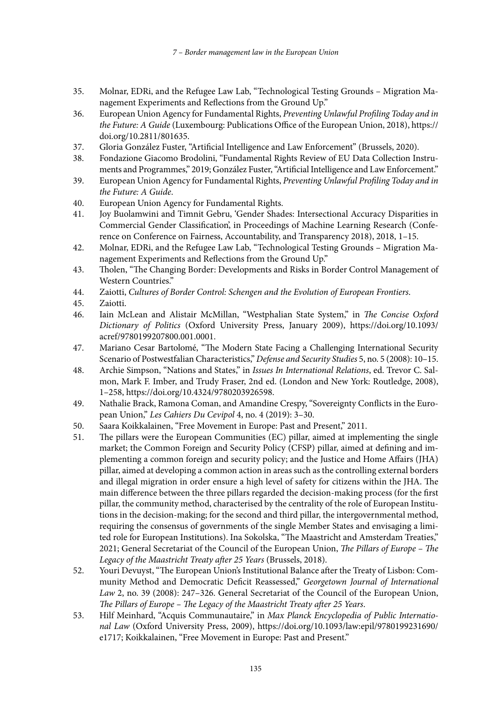- 35. Molnar, EDRi, and the Refugee Law Lab, "Technological Testing Grounds Migration Management Experiments and Reflections from the Ground Up."
- 36. European Union Agency for Fundamental Rights, *Preventing Unlawful Profiling Today and in the Future: A Guide* (Luxembourg: Publications Office of the European Union, 2018), [https://](https://doi.org/10.2811/801635) [doi.org/10.2811/801635.](https://doi.org/10.2811/801635)
- 37. Gloria González Fuster, "Artificial Intelligence and Law Enforcement" (Brussels, 2020).
- 38. Fondazione Giacomo Brodolini, "Fundamental Rights Review of EU Data Collection Instruments and Programmes," 2019; González Fuster, "Artificial Intelligence and Law Enforcement."
- 39. European Union Agency for Fundamental Rights, *Preventing Unlawful Profiling Today and in the Future: A Guide*.
- 40. European Union Agency for Fundamental Rights.
- 41. Joy Buolamwini and Timnit Gebru, 'Gender Shades: Intersectional Accuracy Disparities in Commercial Gender Classification', in Proceedings of Machine Learning Research (Conference on Conference on Fairness, Accountability, and Transparency 2018), 2018, 1–15.
- 42. Molnar, EDRi, and the Refugee Law Lab, "Technological Testing Grounds Migration Management Experiments and Reflections from the Ground Up."
- 43. Tholen, "The Changing Border: Developments and Risks in Border Control Management of Western Countries."
- 44. Zaiotti, *Cultures of Border Control: Schengen and the Evolution of European Frontiers*.
- 45. Zaiotti.
- 46. Iain McLean and Alistair McMillan, "Westphalian State System," in *The Concise Oxford Dictionary of Politics* (Oxford University Press, January 2009), [https://doi.org/10.1093/](https://doi.org/10.1093/acref/9780199207800.001.0001) [acref/9780199207800.001.0001](https://doi.org/10.1093/acref/9780199207800.001.0001).
- 47. Mariano Cesar Bartolomé, "The Modern State Facing a Challenging International Security Scenario of Postwestfalian Characteristics," *Defense and Security Studies* 5, no. 5 (2008): 10–15.
- 48. Archie Simpson, "Nations and States," in *Issues In International Relations*, ed. Trevor C. Salmon, Mark F. Imber, and Trudy Fraser, 2nd ed. (London and New York: Routledge, 2008), 1–258,<https://doi.org/10.4324/9780203926598>.
- 49. Nathalie Brack, Ramona Coman, and Amandine Crespy, "Sovereignty Conflicts in the European Union," *Les Cahiers Du Cevipol* 4, no. 4 (2019): 3–30.
- 50. Saara Koikkalainen, "Free Movement in Europe: Past and Present," 2011.
- 51. The pillars were the European Communities (EC) pillar, aimed at implementing the single market; the Common Foreign and Security Policy (CFSP) pillar, aimed at defining and implementing a common foreign and security policy; and the Justice and Home Affairs (JHA) pillar, aimed at developing a common action in areas such as the controlling external borders and illegal migration in order ensure a high level of safety for citizens within the JHA. The main difference between the three pillars regarded the decision-making process (for the first pillar, the community method, characterised by the centrality of the role of European Institutions in the decision-making; for the second and third pillar, the intergovernmental method, requiring the consensus of governments of the single Member States and envisaging a limited role for European Institutions). Ina Sokolska, "The Maastricht and Amsterdam Treaties," 2021; General Secretariat of the Council of the European Union, *The Pillars of Europe – The Legacy of the Maastricht Treaty after 25 Years* (Brussels, 2018).
- 52. Youri Devuyst, "The European Union's Institutional Balance after the Treaty of Lisbon: Community Method and Democratic Deficit Reassessed," *Georgetown Journal of International Law* 2, no. 39 (2008): 247–326. General Secretariat of the Council of the European Union, *The Pillars of Europe – The Legacy of the Maastricht Treaty after 25 Years*.
- 53. Hilf Meinhard, "Acquis Communautaire," in *Max Planck Encyclopedia of Public International Law* (Oxford University Press, 2009), [https://doi.org/10.1093/law:](https://doi.org/10.1093/law)epil/9780199231690/ e1717; Koikkalainen, "Free Movement in Europe: Past and Present."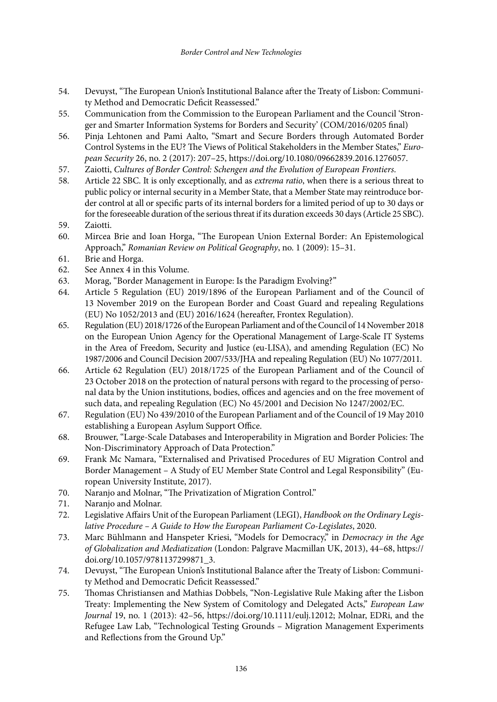- 54. Devuyst, "The European Union's Institutional Balance after the Treaty of Lisbon: Community Method and Democratic Deficit Reassessed."
- 55. Communication from the Commission to the European Parliament and the Council 'Stronger and Smarter Information Systems for Borders and Security' (COM/2016/0205 final)
- 56. Pinja Lehtonen and Pami Aalto, "Smart and Secure Borders through Automated Border Control Systems in the EU? The Views of Political Stakeholders in the Member States," *European Security* 26, no. 2 (2017): 207–25, [https://doi.org/10.1080/09662839.2016.1276057.](https://doi.org/10.1080/09662839.2016.1276057)
- 57. Zaiotti, *Cultures of Border Control: Schengen and the Evolution of European Frontiers*.
- 58. Article 22 SBC. It is only exceptionally, and as *extrema ratio*, when there is a serious threat to public policy or internal security in a Member State, that a Member State may reintroduce border control at all or specific parts of its internal borders for a limited period of up to 30 days or for the foreseeable duration of the serious threat if its duration exceeds 30 days (Article 25 SBC).
- 59. Zaiotti.
- 60. Mircea Brie and Ioan Horga, "The European Union External Border: An Epistemological Approach," *Romanian Review on Political Geography*, no. 1 (2009): 15–31.
- 61. Brie and Horga.
- 62. See Annex 4 in this Volume.
- 63. Morag, "Border Management in Europe: Is the Paradigm Evolving?"
- 64. Article 5 Regulation (EU) 2019/1896 of the European Parliament and of the Council of 13 November 2019 on the European Border and Coast Guard and repealing Regulations (EU) No 1052/2013 and (EU) 2016/1624 (hereafter, Frontex Regulation).
- 65. Regulation (EU) 2018/1726 of the European Parliament and of the Council of 14 November 2018 on the European Union Agency for the Operational Management of Large-Scale IT Systems in the Area of Freedom, Security and Justice (eu-LISA), and amending Regulation (EC) No 1987/2006 and Council Decision 2007/533/JHA and repealing Regulation (EU) No 1077/2011.
- 66. Article 62 Regulation (EU) 2018/1725 of the European Parliament and of the Council of 23 October 2018 on the protection of natural persons with regard to the processing of personal data by the Union institutions, bodies, offices and agencies and on the free movement of such data, and repealing Regulation (EC) No 45/2001 and Decision No 1247/2002/EC.
- 67. Regulation (EU) No 439/2010 of the European Parliament and of the Council of 19 May 2010 establishing a European Asylum Support Office.
- 68. Brouwer, "Large-Scale Databases and Interoperability in Migration and Border Policies: The Non-Discriminatory Approach of Data Protection."
- 69. Frank Mc Namara, "Externalised and Privatised Procedures of EU Migration Control and Border Management – A Study of EU Member State Control and Legal Responsibility" (European University Institute, 2017).
- 70. Naranjo and Molnar, "The Privatization of Migration Control."
- 71. Naranjo and Molnar.
- 72. Legislative Affairs Unit of the European Parliament (LEGI), *Handbook on the Ordinary Legislative Procedure – A Guide to How the European Parliament Co-Legislates*, 2020.
- 73. Marc Bühlmann and Hanspeter Kriesi, "Models for Democracy," in *Democracy in the Age of Globalization and Mediatization* (London: Palgrave Macmillan UK, 2013), 44–68, [https://](https://doi.org/10.1057/9781137299871_3) [doi.org/10.1057/9781137299871\\_3.](https://doi.org/10.1057/9781137299871_3)
- 74. Devuyst, "The European Union's Institutional Balance after the Treaty of Lisbon: Community Method and Democratic Deficit Reassessed."
- 75. Thomas Christiansen and Mathias Dobbels, "Non-Legislative Rule Making after the Lisbon Treaty: Implementing the New System of Comitology and Delegated Acts," *European Law Journal* 19, no. 1 (2013): 42–56, <https://doi.org/10.1111/eulj.12012>; Molnar, EDRi, and the Refugee Law Lab, "Technological Testing Grounds – Migration Management Experiments and Reflections from the Ground Up."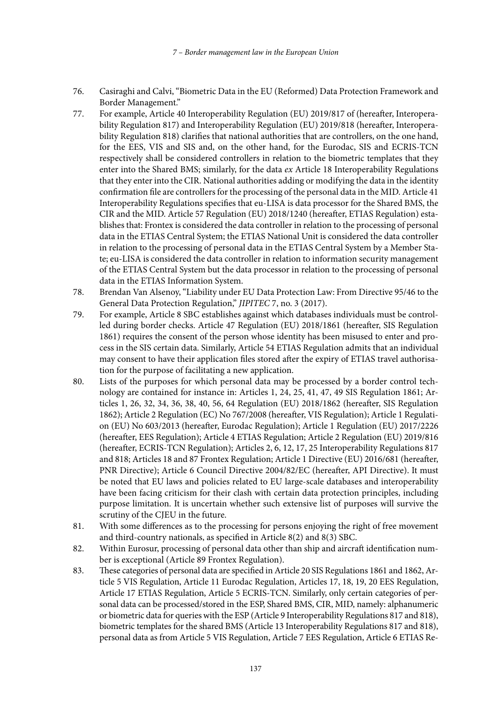- 76. Casiraghi and Calvi, "Biometric Data in the EU (Reformed) Data Protection Framework and Border Management."
- 77. For example, Article 40 Interoperability Regulation (EU) 2019/817 of (hereafter, Interoperability Regulation 817) and Interoperability Regulation (EU) 2019/818 (hereafter, Interoperability Regulation 818) clarifies that national authorities that are controllers, on the one hand, for the EES, VIS and SIS and, on the other hand, for the Eurodac, SIS and ECRIS-TCN respectively shall be considered controllers in relation to the biometric templates that they enter into the Shared BMS; similarly, for the data *ex* Article 18 Interoperability Regulations that they enter into the CIR. National authorities adding or modifying the data in the identity confirmation file are controllers for the processing of the personal data in the MID. Article 41 Interoperability Regulations specifies that eu-LISA is data processor for the Shared BMS, the CIR and the MID. Article 57 Regulation (EU) 2018/1240 (hereafter, ETIAS Regulation) establishes that: Frontex is considered the data controller in relation to the processing of personal data in the ETIAS Central System; the ETIAS National Unit is considered the data controller in relation to the processing of personal data in the ETIAS Central System by a Member State; eu-LISA is considered the data controller in relation to information security management of the ETIAS Central System but the data processor in relation to the processing of personal data in the ETIAS Information System.
- 78. Brendan Van Alsenoy, "Liability under EU Data Protection Law: From Directive 95/46 to the General Data Protection Regulation," *JIPITEC* 7, no. 3 (2017).
- 79. For example, Article 8 SBC establishes against which databases individuals must be controlled during border checks. Article 47 Regulation (EU) 2018/1861 (hereafter, SIS Regulation 1861) requires the consent of the person whose identity has been misused to enter and process in the SIS certain data. Similarly, Article 54 ETIAS Regulation admits that an individual may consent to have their application files stored after the expiry of ETIAS travel authorisation for the purpose of facilitating a new application.
- 80. Lists of the purposes for which personal data may be processed by a border control technology are contained for instance in: Articles 1, 24, 25, 41, 47, 49 SIS Regulation 1861; Articles 1, 26, 32, 34, 36, 38, 40, 56, 64 Regulation (EU) 2018/1862 (hereafter, SIS Regulation 1862); Article 2 Regulation (EC) No 767/2008 (hereafter, VIS Regulation); Article 1 Regulation (EU) No 603/2013 (hereafter, Eurodac Regulation); Article 1 Regulation (EU) 2017/2226 (hereafter, EES Regulation); Article 4 ETIAS Regulation; Article 2 Regulation (EU) 2019/816 (hereafter, ECRIS-TCN Regulation); Articles 2, 6, 12, 17, 25 Interoperability Regulations 817 and 818; Articles 18 and 87 Frontex Regulation; Article 1 Directive (EU) 2016/681 (hereafter, PNR Directive); Article 6 Council Directive 2004/82/EC (hereafter, API Directive). It must be noted that EU laws and policies related to EU large-scale databases and interoperability have been facing criticism for their clash with certain data protection principles, including purpose limitation. It is uncertain whether such extensive list of purposes will survive the scrutiny of the CJEU in the future.
- 81. With some differences as to the processing for persons enjoying the right of free movement and third-country nationals, as specified in Article 8(2) and 8(3) SBC.
- 82. Within Eurosur, processing of personal data other than ship and aircraft identification number is exceptional (Article 89 Frontex Regulation).
- 83. These categories of personal data are specified in Article 20 SIS Regulations 1861 and 1862, Article 5 VIS Regulation, Article 11 Eurodac Regulation, Articles 17, 18, 19, 20 EES Regulation, Article 17 ETIAS Regulation, Article 5 ECRIS-TCN. Similarly, only certain categories of personal data can be processed/stored in the ESP, Shared BMS, CIR, MID, namely: alphanumeric or biometric data for queries with the ESP (Article 9 Interoperability Regulations 817 and 818), biometric templates for the shared BMS (Article 13 Interoperability Regulations 817 and 818), personal data as from Article 5 VIS Regulation, Article 7 EES Regulation, Article 6 ETIAS Re-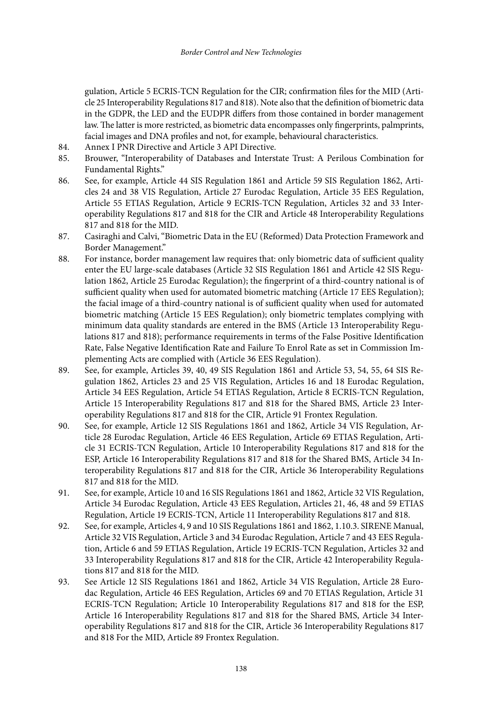gulation, Article 5 ECRIS-TCN Regulation for the CIR; confirmation files for the MID (Article 25 Interoperability Regulations 817 and 818). Note also that the definition of biometric data in the GDPR, the LED and the EUDPR differs from those contained in border management law. The latter is more restricted, as biometric data encompasses only fingerprints, palmprints, facial images and DNA profiles and not, for example, behavioural characteristics.

- 84. Annex I PNR Directive and Article 3 API Directive.<br>85. Brouwer. "Interoperability of Databases and Interst
- 85. Brouwer, "Interoperability of Databases and Interstate Trust: A Perilous Combination for Fundamental Rights."
- 86. See, for example, Article 44 SIS Regulation 1861 and Article 59 SIS Regulation 1862, Articles 24 and 38 VIS Regulation, Article 27 Eurodac Regulation, Article 35 EES Regulation, Article 55 ETIAS Regulation, Article 9 ECRIS-TCN Regulation, Articles 32 and 33 Interoperability Regulations 817 and 818 for the CIR and Article 48 Interoperability Regulations 817 and 818 for the MID.
- 87. Casiraghi and Calvi, "Biometric Data in the EU (Reformed) Data Protection Framework and Border Management."
- 88. For instance, border management law requires that: only biometric data of sufficient quality enter the EU large-scale databases (Article 32 SIS Regulation 1861 and Article 42 SIS Regulation 1862, Article 25 Eurodac Regulation); the fingerprint of a third-country national is of sufficient quality when used for automated biometric matching (Article 17 EES Regulation); the facial image of a third-country national is of sufficient quality when used for automated biometric matching (Article 15 EES Regulation); only biometric templates complying with minimum data quality standards are entered in the BMS (Article 13 Interoperability Regulations 817 and 818); performance requirements in terms of the False Positive Identification Rate, False Negative Identification Rate and Failure To Enrol Rate as set in Commission Implementing Acts are complied with (Article 36 EES Regulation).
- 89. See, for example, Articles 39, 40, 49 SIS Regulation 1861 and Article 53, 54, 55, 64 SIS Regulation 1862, Articles 23 and 25 VIS Regulation, Articles 16 and 18 Eurodac Regulation, Article 34 EES Regulation, Article 54 ETIAS Regulation, Article 8 ECRIS-TCN Regulation, Article 15 Interoperability Regulations 817 and 818 for the Shared BMS, Article 23 Interoperability Regulations 817 and 818 for the CIR, Article 91 Frontex Regulation.
- 90. See, for example, Article 12 SIS Regulations 1861 and 1862, Article 34 VIS Regulation, Article 28 Eurodac Regulation, Article 46 EES Regulation, Article 69 ETIAS Regulation, Article 31 ECRIS-TCN Regulation, Article 10 Interoperability Regulations 817 and 818 for the ESP, Article 16 Interoperability Regulations 817 and 818 for the Shared BMS, Article 34 Interoperability Regulations 817 and 818 for the CIR, Article 36 Interoperability Regulations 817 and 818 for the MID.
- 91. See, for example, Article 10 and 16 SIS Regulations 1861 and 1862, Article 32 VIS Regulation, Article 34 Eurodac Regulation, Article 43 EES Regulation, Articles 21, 46, 48 and 59 ETIAS Regulation, Article 19 ECRIS-TCN, Article 11 Interoperability Regulations 817 and 818.
- 92. See, for example, Articles 4, 9 and 10 SIS Regulations 1861 and 1862, 1.10.3. SIRENE Manual, Article 32 VIS Regulation, Article 3 and 34 Eurodac Regulation, Article 7 and 43 EES Regulation, Article 6 and 59 ETIAS Regulation, Article 19 ECRIS-TCN Regulation, Articles 32 and 33 Interoperability Regulations 817 and 818 for the CIR, Article 42 Interoperability Regulations 817 and 818 for the MID.
- 93. See Article 12 SIS Regulations 1861 and 1862, Article 34 VIS Regulation, Article 28 Eurodac Regulation, Article 46 EES Regulation, Articles 69 and 70 ETIAS Regulation, Article 31 ECRIS-TCN Regulation; Article 10 Interoperability Regulations 817 and 818 for the ESP, Article 16 Interoperability Regulations 817 and 818 for the Shared BMS, Article 34 Interoperability Regulations 817 and 818 for the CIR, Article 36 Interoperability Regulations 817 and 818 For the MID, Article 89 Frontex Regulation.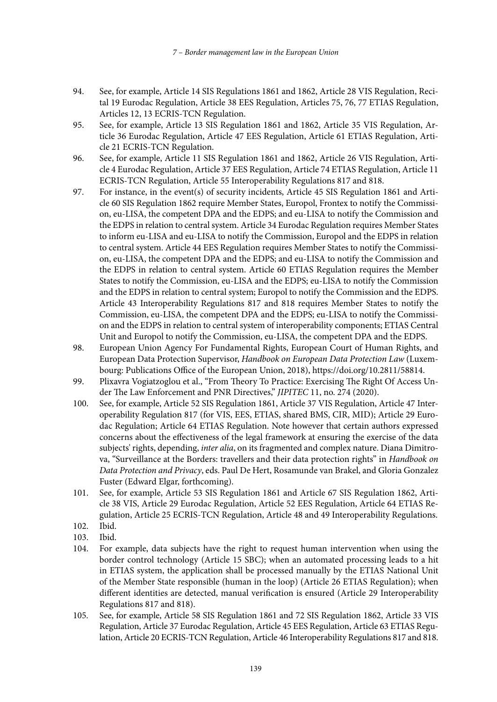- 94. See, for example, Article 14 SIS Regulations 1861 and 1862, Article 28 VIS Regulation, Recital 19 Eurodac Regulation, Article 38 EES Regulation, Articles 75, 76, 77 ETIAS Regulation, Articles 12, 13 ECRIS-TCN Regulation.
- 95. See, for example, Article 13 SIS Regulation 1861 and 1862, Article 35 VIS Regulation, Article 36 Eurodac Regulation, Article 47 EES Regulation, Article 61 ETIAS Regulation, Article 21 ECRIS-TCN Regulation.
- 96. See, for example, Article 11 SIS Regulation 1861 and 1862, Article 26 VIS Regulation, Article 4 Eurodac Regulation, Article 37 EES Regulation, Article 74 ETIAS Regulation, Article 11 ECRIS-TCN Regulation, Article 55 Interoperability Regulations 817 and 818.
- 97. For instance, in the event(s) of security incidents, Article 45 SIS Regulation 1861 and Article 60 SIS Regulation 1862 require Member States, Europol, Frontex to notify the Commission, eu-LISA, the competent DPA and the EDPS; and eu-LISA to notify the Commission and the EDPS in relation to central system. Article 34 Eurodac Regulation requires Member States to inform eu-LISA and eu-LISA to notify the Commission, Europol and the EDPS in relation to central system. Article 44 EES Regulation requires Member States to notify the Commission, eu-LISA, the competent DPA and the EDPS; and eu-LISA to notify the Commission and the EDPS in relation to central system. Article 60 ETIAS Regulation requires the Member States to notify the Commission, eu-LISA and the EDPS; eu-LISA to notify the Commission and the EDPS in relation to central system; Europol to notify the Commission and the EDPS. Article 43 Interoperability Regulations 817 and 818 requires Member States to notify the Commission, eu-LISA, the competent DPA and the EDPS; eu-LISA to notify the Commission and the EDPS in relation to central system of interoperability components; ETIAS Central Unit and Europol to notify the Commission, eu-LISA, the competent DPA and the EDPS.
- 98. European Union Agency For Fundamental Rights, European Court of Human Rights, and European Data Protection Supervisor, *Handbook on European Data Protection Law* (Luxembourg: Publications Office of the European Union, 2018),<https://doi.org/10.2811/58814>.
- 99. Plixavra Vogiatzoglou et al., "From Theory To Practice: Exercising The Right Of Access Under The Law Enforcement and PNR Directives," *JIPITEC* 11, no. 274 (2020).
- 100. See, for example, Article 52 SIS Regulation 1861, Article 37 VIS Regulation, Article 47 Interoperability Regulation 817 (for VIS, EES, ETIAS, shared BMS, CIR, MID); Article 29 Eurodac Regulation; Article 64 ETIAS Regulation. Note however that certain authors expressed concerns about the effectiveness of the legal framework at ensuring the exercise of the data subjects' rights, depending, *inter alia*, on its fragmented and complex nature. Diana Dimitrova, "Surveillance at the Borders: travellers and their data protection rights" in *Handbook on Data Protection and Privacy*, eds. Paul De Hert, Rosamunde van Brakel, and Gloria Gonzalez Fuster (Edward Elgar, forthcoming).
- 101. See, for example, Article 53 SIS Regulation 1861 and Article 67 SIS Regulation 1862, Article 38 VIS, Article 29 Eurodac Regulation, Article 52 EES Regulation, Article 64 ETIAS Regulation, Article 25 ECRIS-TCN Regulation, Article 48 and 49 Interoperability Regulations.
- 102. Ibid.
- 103. Ibid.
- 104. For example, data subjects have the right to request human intervention when using the border control technology (Article 15 SBC); when an automated processing leads to a hit in ETIAS system, the application shall be processed manually by the ETIAS National Unit of the Member State responsible (human in the loop) (Article 26 ETIAS Regulation); when different identities are detected, manual verification is ensured (Article 29 Interoperability Regulations 817 and 818).
- 105. See, for example, Article 58 SIS Regulation 1861 and 72 SIS Regulation 1862, Article 33 VIS Regulation, Article 37 Eurodac Regulation, Article 45 EES Regulation, Article 63 ETIAS Regulation, Article 20 ECRIS-TCN Regulation, Article 46 Interoperability Regulations 817 and 818.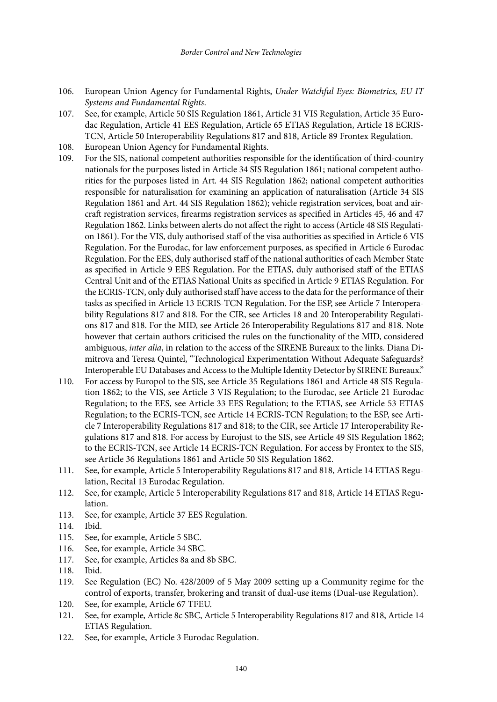- 106. European Union Agency for Fundamental Rights, *Under Watchful Eyes: Biometrics, EU IT Systems and Fundamental Rights*.
- 107. See, for example, Article 50 SIS Regulation 1861, Article 31 VIS Regulation, Article 35 Eurodac Regulation, Article 41 EES Regulation, Article 65 ETIAS Regulation, Article 18 ECRIS-TCN, Article 50 Interoperability Regulations 817 and 818, Article 89 Frontex Regulation.
- 108. European Union Agency for Fundamental Rights.
- 109. For the SIS, national competent authorities responsible for the identification of third-country nationals for the purposes listed in Article 34 SIS Regulation 1861; national competent authorities for the purposes listed in Art. 44 SIS Regulation 1862; national competent authorities responsible for naturalisation for examining an application of naturalisation (Article 34 SIS Regulation 1861 and Art. 44 SIS Regulation 1862); vehicle registration services, boat and aircraft registration services, firearms registration services as specified in Articles 45, 46 and 47 Regulation 1862. Links between alerts do not affect the right to access (Article 48 SIS Regulation 1861). For the VIS, duly authorised staff of the visa authorities as specified in Article 6 VIS Regulation. For the Eurodac, for law enforcement purposes, as specified in Article 6 Eurodac Regulation. For the EES, duly authorised staff of the national authorities of each Member State as specified in Article 9 EES Regulation. For the ETIAS, duly authorised staff of the ETIAS Central Unit and of the ETIAS National Units as specified in Article 9 ETIAS Regulation. For the ECRIS-TCN, only duly authorised staff have access to the data for the performance of their tasks as specified in Article 13 ECRIS-TCN Regulation. For the ESP, see Article 7 Interoperability Regulations 817 and 818. For the CIR, see Articles 18 and 20 Interoperability Regulations 817 and 818. For the MID, see Article 26 Interoperability Regulations 817 and 818. Note however that certain authors criticised the rules on the functionality of the MID, considered ambiguous, *inter alia*, in relation to the access of the SIRENE Bureaux to the links. Diana Dimitrova and Teresa Quintel, "Technological Experimentation Without Adequate Safeguards? Interoperable EU Databases and Access to the Multiple Identity Detector by SIRENE Bureaux."
- 110. For access by Europol to the SIS, see Article 35 Regulations 1861 and Article 48 SIS Regulation 1862; to the VIS, see Article 3 VIS Regulation; to the Eurodac, see Article 21 Eurodac Regulation; to the EES, see Article 33 EES Regulation; to the ETIAS, see Article 53 ETIAS Regulation; to the ECRIS-TCN, see Article 14 ECRIS-TCN Regulation; to the ESP, see Article 7 Interoperability Regulations 817 and 818; to the CIR, see Article 17 Interoperability Regulations 817 and 818. For access by Eurojust to the SIS, see Article 49 SIS Regulation 1862; to the ECRIS-TCN, see Article 14 ECRIS-TCN Regulation. For access by Frontex to the SIS, see Article 36 Regulations 1861 and Article 50 SIS Regulation 1862.
- 111. See, for example, Article 5 Interoperability Regulations 817 and 818, Article 14 ETIAS Regulation, Recital 13 Eurodac Regulation.
- 112. See, for example, Article 5 Interoperability Regulations 817 and 818, Article 14 ETIAS Regulation.
- 113. See, for example, Article 37 EES Regulation.
- 114. Ibid.
- 115. See, for example, Article 5 SBC.
- 116. See, for example, Article 34 SBC.
- 117. See, for example, Articles 8a and 8b SBC.
- 118. Ibid.
- 119. See Regulation (EC) No. 428/2009 of 5 May 2009 setting up a Community regime for the control of exports, transfer, brokering and transit of dual-use items (Dual-use Regulation).
- 120. See, for example, Article 67 TFEU.
- 121. See, for example, Article 8c SBC, Article 5 Interoperability Regulations 817 and 818, Article 14 ETIAS Regulation.
- 122. See, for example, Article 3 Eurodac Regulation.